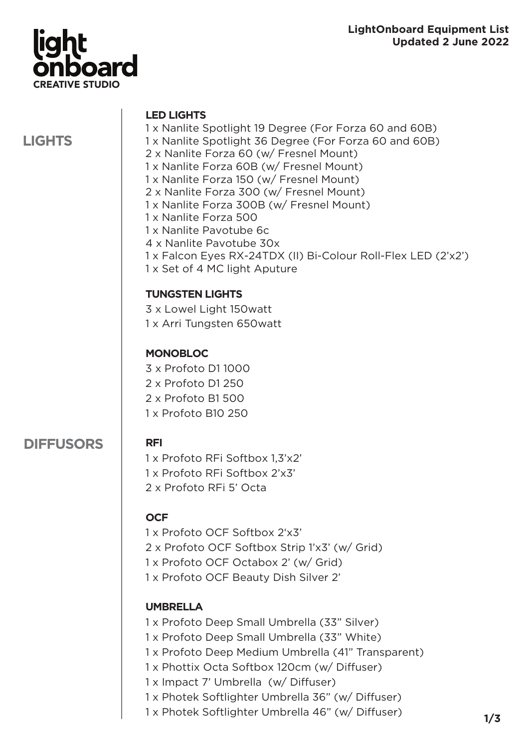

**LIGHTS**

#### **LED LIGHTS**

- 1 x Nanlite Spotlight 19 Degree (For Forza 60 and 60B)
- 1 x Nanlite Spotlight 36 Degree (For Forza 60 and 60B)
- 2 x Nanlite Forza 60 (w/ Fresnel Mount)
- 1 x Nanlite Forza 60B (w/ Fresnel Mount)
- 1 x Nanlite Forza 150 (w/ Fresnel Mount)
- 2 x Nanlite Forza 300 (w/ Fresnel Mount)
- 1 x Nanlite Forza 300B (w/ Fresnel Mount)
- 1 x Nanlite Forza 500
- 1 x Nanlite Pavotube 6c
- 4 x Nanlite Pavotube 30x
- 1 x Falcon Eyes RX-24TDX (II) Bi-Colour Roll-Flex LED (2'x2')
- 1 x Set of 4 MC light Aputure

## **TUNGSTEN LIGHTS**

3 x Lowel Light 150watt

1 x Arri Tungsten 650watt

## **MONOBLOC**

3 x Profoto D1 1000

- 2 x Profoto D1 250
- 2 x Profoto B1 500
- 1 x Profoto B10 250

# **DIFFUSORS**

# **RFI**

1 x Profoto RFi Softbox 1,3'x2' 1 x Profoto RFi Softbox 2'x3' 2 x Profoto RFi 5' Octa

# **OCF**

1 x Profoto OCF Softbox 2'x3' 2 x Profoto OCF Softbox Strip 1'x3' (w/ Grid) 1 x Profoto OCF Octabox 2' (w/ Grid) 1 x Profoto OCF Beauty Dish Silver 2'

# **UMBRELLA**

- 1 x Profoto Deep Small Umbrella (33" Silver)
- 1 x Profoto Deep Small Umbrella (33" White)
- 1 x Profoto Deep Medium Umbrella (41" Transparent)
- 1 x Phottix Octa Softbox 120cm (w/ Diffuser)
- 1 x Impact 7' Umbrella (w/ Diffuser)
- 1 x Photek Softlighter Umbrella 36" (w/ Diffuser)
- 1 x Photek Softlighter Umbrella 46" (w/ Diffuser)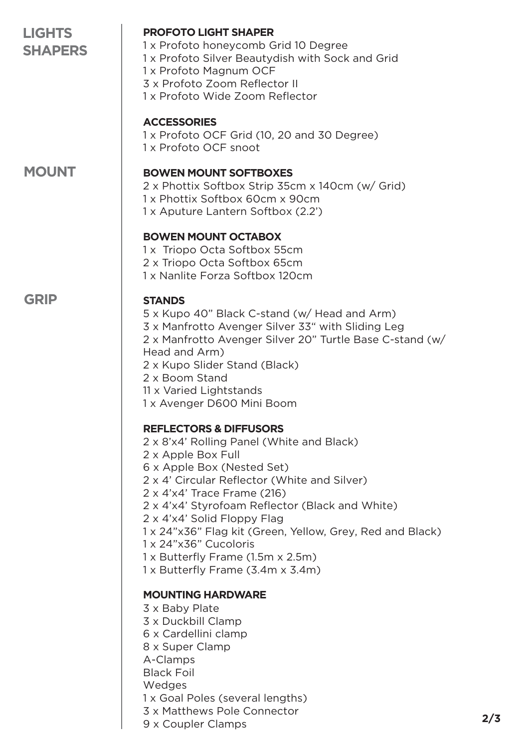| <b>LIGHTS</b><br><b>SHAPERS</b> | <b>PROFOTO LIGHT SHAPER</b><br>1 x Profoto honeycomb Grid 10 Degree<br>1 x Profoto Silver Beautydish with Sock and Grid<br>1 x Profoto Magnum OCF<br>3 x Profoto Zoom Reflector II<br>1 x Profoto Wide Zoom Reflector                                                                                                                                                                                                                                                                          |
|---------------------------------|------------------------------------------------------------------------------------------------------------------------------------------------------------------------------------------------------------------------------------------------------------------------------------------------------------------------------------------------------------------------------------------------------------------------------------------------------------------------------------------------|
|                                 | <b>ACCESSORIES</b><br>1 x Profoto OCF Grid (10, 20 and 30 Degree)<br>1 x Profoto OCF snoot                                                                                                                                                                                                                                                                                                                                                                                                     |
| <b>MOUNT</b>                    | <b>BOWEN MOUNT SOFTBOXES</b><br>2 x Phottix Softbox Strip 35cm x 140cm (w/ Grid)<br>1 x Phottix Softbox 60cm x 90cm<br>1 x Aputure Lantern Softbox (2.2')                                                                                                                                                                                                                                                                                                                                      |
|                                 | <b>BOWEN MOUNT OCTABOX</b><br>1x Triopo Octa Softbox 55cm<br>2 x Triopo Octa Softbox 65cm<br>1 x Nanlite Forza Softbox 120cm                                                                                                                                                                                                                                                                                                                                                                   |
| <b>GRIP</b>                     | <b>STANDS</b><br>5 x Kupo 40" Black C-stand (w/ Head and Arm)<br>3 x Manfrotto Avenger Silver 33" with Sliding Leg<br>2 x Manfrotto Avenger Silver 20" Turtle Base C-stand (w/<br>Head and Arm)<br>2 x Kupo Slider Stand (Black)<br>2 x Boom Stand<br>11 x Varied Lightstands<br>1 x Avenger D600 Mini Boom                                                                                                                                                                                    |
|                                 | <b>REFLECTORS &amp; DIFFUSORS</b><br>2 x 8'x4' Rolling Panel (White and Black)<br>2 x Apple Box Full<br>6 x Apple Box (Nested Set)<br>2 x 4' Circular Reflector (White and Silver)<br>$2 \times 4 \times 4'$ Trace Frame (216)<br>2 x 4'x4' Styrofoam Reflector (Black and White)<br>2 x 4'x4' Solid Floppy Flag<br>1 x 24"x36" Flag kit (Green, Yellow, Grey, Red and Black)<br>1 x 24"x36" Cucoloris<br>1 x Butterfly Frame (1.5m x 2.5m)<br>$1 \times$ Butterfly Frame (3.4m $\times$ 3.4m) |
|                                 | <b>MOUNTING HARDWARE</b><br>3 x Baby Plate<br>3 x Duckbill Clamp<br>6 x Cardellini clamp<br>8 x Super Clamp<br>A-Clamps<br><b>Black Foil</b><br>Wedges<br>1 x Goal Poles (several lengths)<br>3 x Matthews Pole Connector<br>9 x Coupler Clamps                                                                                                                                                                                                                                                |